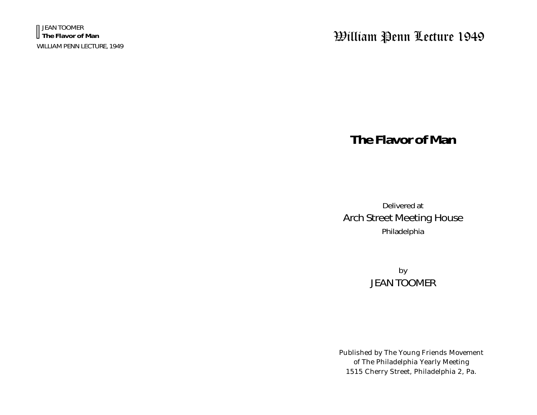WILLIAM PENN LECTURE, 1949 JEAN TOOMER **The Flavor of Man**

William Penn Lecture 1949

## **The Flavor of Man**

Delivered at Arch Street Meeting House Philadelphia

> by JEAN TOOMER

Published by The Young Friends Movement of The Philadelphia Yearly Meeting 1515 Cherry Street, Philadelphia 2, Pa.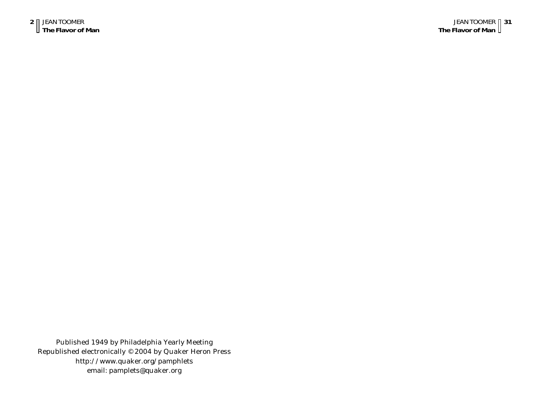JEAN TOOMER **The Flavor of Man 2**

Published 1949 by Philadelphia Yearly Meeting Republished electronically © 2004 by Quaker Heron Press http://www.quaker.org/pamphlets email: pamplets@quaker.org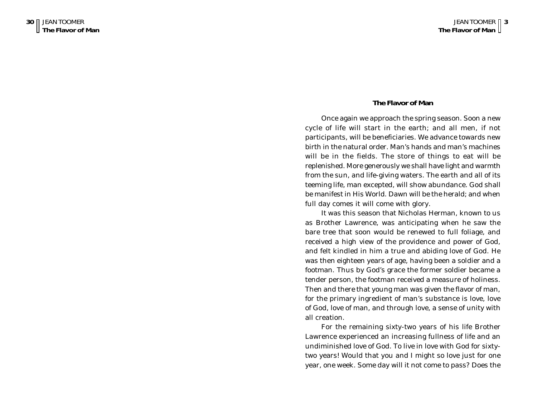## **The Flavor of Man**

Once again we approach the spring season. Soon a new cycle of life will start in the earth; and all men, if not participants, will be beneficiaries. We advance towards new birth in the natural order. Man's hands and man's machines will be in the fields. The store of things to eat will be replenished. More generously we shall have light and warmth from the sun, and life-giving waters. The earth and all of its teeming life, man excepted, will show abundance. God shall be manifest in His World. Dawn will be the herald; and when full day comes it will come with glory.

It was this season that Nicholas Herman, known to us as Brother Lawrence, was anticipating when he saw the bare tree that soon would be renewed to full foliage, and received a high view of the providence and power of God, and felt kindled in him a true and abiding love of God. He was then eighteen years of age, having been a soldier and a footman. Thus by God's grace the former soldier became a tender person, the footman received a measure of holiness. Then and there that young man was given the flavor of man, for the primary ingredient of man's substance is love, love of God, love of man, and through love, a sense of unity with all creation.

For the remaining sixty-two years of his life Brother Lawrence experienced an increasing fullness of life and an undiminished love of God. To live in love with God for sixtytwo years! Would that you and I might so love just for one year, one week. Some day will it not come to pass? Does the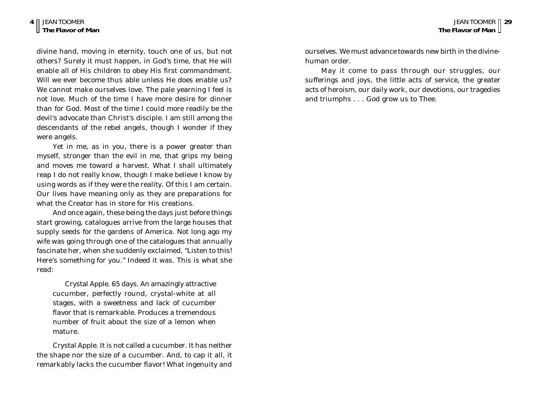divine hand, moving in eternity, touch one of us, but not others? Surely it must happen, in God's time, that He will enable all of His children to obey His first commandment. Will we ever become thus able unless He does enable us? We cannot make ourselves love. The pale yearning I feel is not love. Much of the time I have more desire for dinner than for God. Most of the time I could more readily be the devil's advocate than Christ's disciple. I am still among the descendants of the rebel angels, though I wonder if they were angels.

Yet in me, as in you, there is a power greater than myself, stronger than the evil in me, that grips my being and moves me toward a harvest. What I shall ultimately reap I do not really know, though I make believe I know by using words as if they were the reality. Of this I am certain. Our lives have meaning only as they are preparations for what the Creator has in store for His creations.

And once again, these being the days just before things start growing, catalogues arrive from the large houses that supply seeds for the gardens of America. Not long ago my wife was going through one of the catalogues that annually fascinate her, when she suddenly exclaimed, "Listen to this! Here's something for you." Indeed it was. This is what she read:

Crystal Apple. 65 days. An amazingly attractive cucumber, perfectly round, crystal-white at all stages, with a sweetness and lack of cucumber flavor that is remarkable. Produces a tremendous number of fruit about the size of a lemon when mature.

Crystal Apple. It is not called a cucumber. It has neither the shape nor the size of a cucumber. And, to cap it all, it remarkably lacks the cucumber flavor! What ingenuity and ourselves. We must advance towards new birth in the divinehuman order.

May it come to pass through our struggles, our sufferings and joys, the little acts of service, the greater acts of heroism, our daily work, our devotions, our tragedies and triumphs . . . God grow us to Thee.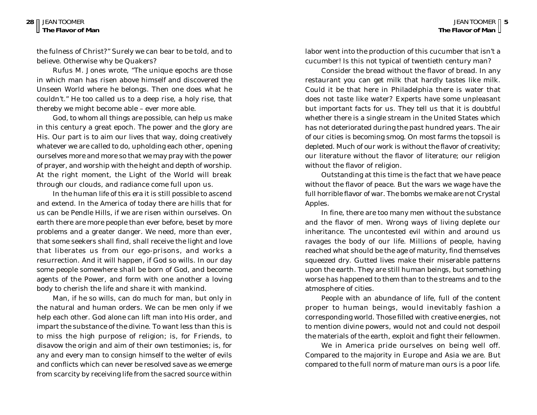the fulness of Christ?" Surely we can bear to be told, and to believe. Otherwise why be Quakers?

Rufus M. Jones wrote, "The unique epochs are those in which man has risen above himself and discovered the Unseen World where he belongs. Then one does what he couldn't." He too called us to a deep rise, a holy rise, that thereby we might become able – ever more able.

God, to whom all things are possible, can help us make in this century a great epoch. The power and the glory are His. Our part is to aim our lives that way, doing creatively whatever we are called to do, upholding each other, opening ourselves more and more so that we may pray with the power of prayer, and worship with the height and depth of worship. At the right moment, the Light of the World will break through our clouds, and radiance come full upon us.

In the human life of this era it is still possible to ascend and extend. In the America of today there are hills that for us can be Pendle Hills, if we are risen within ourselves. On earth there are more people than ever before, beset by more problems and a greater danger. We need, more than ever, that some seekers shall find, shall receive the light and love that liberates us from our ego-prisons, and works a resurrection. And it will happen, if God so wills. In our day some people somewhere shall be born of God, and become agents of the Power, and form with one another a loving body to cherish the life and share it with mankind.

Man, if he so wills, can do much for man, but only in the natural and human orders. We can be men only if we help each other. God alone can lift man into His order, and impart the substance of the divine. To want less than this is to miss the high purpose of religion; is, for Friends, to disavow the origin and aim of their own testimonies; is, for any and every man to consign himself to the welter of evils and conflicts which can never be resolved save as we emerge from scarcity by receiving life from the sacred source within

labor went into the production of this cucumber that isn't a cucumber! Is this not typical of twentieth century man?

Consider the bread without the flavor of bread. In any restaurant you can get milk that hardly tastes like milk. Could it be that here in Philadelphia there is water that does not taste like water? Experts have some unpleasant but important facts for us. They tell us that it is doubtful whether there is a single stream in the United States which has not deteriorated during the past hundred years. The air of our cities is becoming smog. On most farms the topsoil is depleted. Much of our work is without the flavor of creativity; our literature without the flavor of literature; our religion without the flavor of religion.

Outstanding at this time is the fact that we have peace without the flavor of peace. But the wars we wage have the full horrible flavor of war. The bombs we make are not Crystal Apples.

In fine, there are too many men without the substance and the flavor of men. Wrong ways of living deplete our inheritance. The uncontested evil within and around us ravages the body of our life. Millions of people, having reached what should be the age of maturity, find themselves squeezed dry. Gutted lives make their miserable patterns upon the earth. They are still human beings, but something worse has happened to them than to the streams and to the atmosphere of cities.

People with an abundance of life, full of the content proper to human beings, would inevitably fashion a corresponding world. Those filled with creative energies, not to mention divine powers, would not and could not despoil the materials of the earth, exploit and fight their fellowmen.

We in America pride ourselves on being well off. Compared to the majority in Europe and Asia we are. But compared to the full norm of mature man ours is a poor life.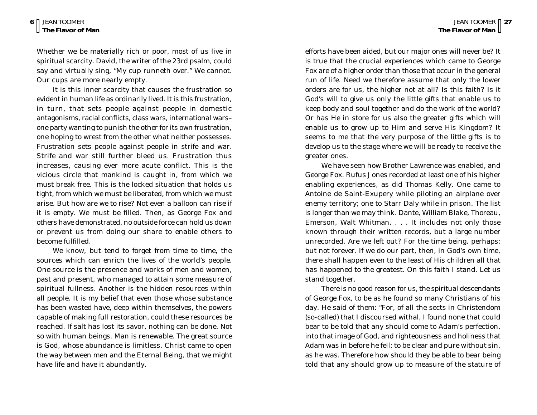Whether we be materially rich or poor, most of us live in spiritual scarcity. David, the writer of the 23rd psalm, could say and virtually sing, "My cup runneth over." We cannot. Our cups are more nearly empty.

It is this inner scarcity that causes the frustration so evident in human life as ordinarily lived. It is this frustration, in turn, that sets people against people in domestic antagonisms, racial conflicts, class wars, international wars– one party wanting to punish the other for its own frustration, one hoping to wrest from the other what neither possesses. Frustration sets people against people in strife and war. Strife and war still further bleed us. Frustration thus increases, causing ever more acute conflict. This is the vicious circle that mankind is caught in, from which we must break free. This is the locked situation that holds us tight, from which we must be liberated, from which we must arise. But how are we to rise? Not even a balloon can rise if it is empty. We must be filled. Then, as George Fox and others have demonstrated, no outside force can hold us down or prevent us from doing our share to enable others to become fulfilled.

We know, but tend to forget from time to time, the sources which can enrich the lives of the world's people. One source is the presence and works of men and women, past and present, who managed to attain some measure of spiritual fullness. Another is the hidden resources within all people. It is my belief that even those whose substance has been wasted have, deep within themselves, the powers capable of making full restoration, could these resources be reached. If salt has lost its savor, nothing can be done. Not so with human beings. Man is renewable. The great source is God, whose abundance is limitless. Christ came to open the way between men and the Eternal Being, that we might have life and have it abundantly.

efforts have been aided, but our major ones will never be? It is true that the crucial experiences which came to George Fox are of a higher order than those that occur in the general run of life. Need we therefore assume that only the lower orders are for us, the higher not at all? Is this faith? Is it God's will to give us only the little gifts that enable us to keep body and soul together and do the work of the world? Or has He in store for us also the greater gifts which will enable us to grow up to Him and serve His Kingdom? It seems to me that the very purpose of the little gifts is to develop us to the stage where we will be ready to receive the greater ones.

We have seen how Brother Lawrence was enabled, and George Fox. Rufus Jones recorded at least one of his higher enabling experiences, as did Thomas Kelly. One came to Antoine de Saint-Exupery while piloting an airplane over enemy territory; one to Starr Daly while in prison. The list is longer than we may think. Dante, William Blake, Thoreau, Emerson, Walt Whitman. . . . It includes not only those known through their written records, but a large number unrecorded. Are we left out? For the time being, perhaps; but not forever. If we do our part, then, in God's own time, there shall happen even to the least of His children all that has happened to the greatest. On this faith I stand. Let us stand together.

There is no good reason for us, the spiritual descendants of George Fox, to be as he found so many Christians of his day. He said of them: "For, of all the sects in Christendom (so-called) that I discoursed withal, I found none that could bear to be told that any should come to Adam's perfection, into that image of God, and righteousness and holiness that Adam was in before he fell; to be clear and pure without sin, as he was. Therefore how should they be able to bear being told that any should grow up to measure of the stature of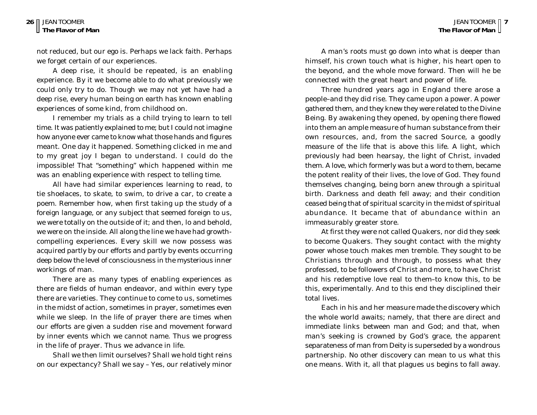not reduced, but our ego is. Perhaps we lack faith. Perhaps we forget certain of our experiences.

A deep rise, it should be repeated, is an enabling experience. By it we become able to do what previously we could only try to do. Though we may not yet have had a deep rise, every human being on earth has known enabling experiences of some kind, from childhood on.

I remember my trials as a child trying to learn to tell time. It was patiently explained to me; but I could not imagine how anyone ever came to know what those hands and figures meant. One day it happened. Something clicked in me and to my great joy I began to understand. I could do the impossible! That "something" which happened within me was an enabling experience with respect to telling time.

All have had similar experiences learning to read, to tie shoelaces, to skate, to swim, to drive a car, to create a poem. Remember how, when first taking up the study of a foreign language, or any subject that seemed foreign to us, we were totally on the outside of it; and then, lo and behold, we were on the inside. All along the line we have had growthcompelling experiences. Every skill we now possess was acquired partly by our efforts and partly by events occurring deep below the level of consciousness in the mysterious inner workings of man.

There are as many types of enabling experiences as there are fields of human endeavor, and within every type there are varieties. They continue to come to us, sometimes in the midst of action, sometimes in prayer, sometimes even while we sleep. In the life of prayer there are times when our efforts are given a sudden rise and movement forward by inner events which we cannot name. Thus we progress in the life of prayer. Thus we advance in life.

Shall we then limit ourselves? Shall we hold tight reins on our expectancy? Shall we say – Yes, our relatively minor

A man's roots must go down into what is deeper than himself, his crown touch what is higher, his heart open to the beyond, and the whole move forward. Then will he be connected with the great heart and power of life.

Three hundred years ago in England there arose a people–and they did rise. They came upon a power. A power gathered them, and they knew they were related to the Divine Being. By awakening they opened, by opening there flowed into them an ample measure of human substance from their own resources, and, from the sacred Source, a goodly measure of the life that is above this life. A light, which previously had been hearsay, the light of Christ, invaded them. A love, which formerly was but a word to them, became the potent reality of their lives, the love of God. They found themselves changing, being born anew through a spiritual birth. Darkness and death fell away; and their condition ceased being that of spiritual scarcity in the midst of spiritual abundance. It became that of abundance within an immeasurably greater store.

At first they were not called Quakers, nor did they seek to become Quakers. They sought contact with the mighty power whose touch makes men tremble. They sought to be Christians through and through, to possess what they professed, to be followers of Christ and more, to have Christ and his redemptive love real to them–to know this, to *be* this, experimentally. And to this end they disciplined their total lives.

Each in his and her measure made the discovery which the whole world awaits; namely, that there are direct and immediate links between man and God; and that, when man's seeking is crowned by God's grace, the apparent separateness of man from Deity is superseded by a wondrous partnership. No other discovery can mean to us what this one means. With it, all that plagues us begins to fall away.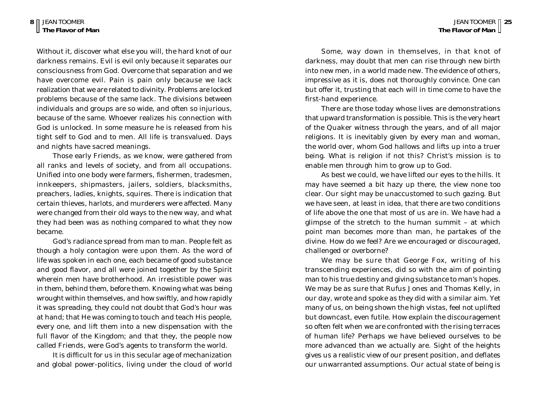Without it, discover what else you will, the hard knot of our darkness remains. Evil is evil only because it separates our consciousness from God. Overcome that separation and we have overcome evil. Pain is pain only because we lack realization that we are related to divinity. Problems are locked problems because of the same lack. The divisions between individuals and groups are so wide, and often so injurious, because of the same. Whoever realizes his connection with God is unlocked. In some measure he is released from his tight self to God and to men. All life is transvalued. Days and nights have sacred meanings.

Those early Friends, as we know, were gathered from all ranks and levels of society, and from all occupations. Unified into one body were farmers, fishermen, tradesmen, innkeepers, shipmasters, jailers, soldiers, blacksmiths, preachers, ladies, knights, squires. There is indication that certain thieves, harlots, and murderers were affected. Many were changed from their old ways to the new way, and what they had been was as nothing compared to what they now became.

God's radiance spread from man to man. People felt as though a holy contagion were upon them. As the word of life was spoken in each one, each became of good substance and good flavor, and all were joined together by the Spirit wherein men have brotherhood. An irresistible power was in them, behind them, before them. Knowing what was being wrought within themselves, and how swiftly, and how rapidly it was spreading, they could not doubt that God's hour was at hand; that He was coming to touch and teach His people, every one, and lift them into a new dispensation with the full flavor of the Kingdom; and that they, the people now called Friends, were God's agents to transform the world.

It is difficult for us in this secular age of mechanization and global power-politics, living under the cloud of world

Some, way down in themselves, in that knot of darkness, may doubt that men can rise through new birth into new men, in a world made new. The evidence of others, impressive as it is, does not thoroughly convince. One can but offer it, trusting that each will in time come to have the first-hand experience.

There are those today whose lives are demonstrations that upward transformation is possible. This is the very heart of the Quaker witness through the years, and of all major religions. It is inevitably given by every man and woman, the world over, whom God hallows and lifts up into a truer being. What is religion if not this? Christ's mission is to enable men through him to grow up to God.

As best we could, we have lifted our eyes to the hills. It may have seemed a bit hazy up there, the view none too clear. Our sight may be unaccustomed to such gazing. But we have seen, at least in idea, that there are two conditions of life above the one that most of us are in. We have had a glimpse of the stretch to the human summit – at which point man becomes more than man, he partakes of the divine. How do we feel? Are we encouraged or discouraged, challenged or overborne?

We may be sure that George Fox, writing of his transcending experiences, did so with the aim of pointing man to his true destiny and giving substance to man's hopes. We may be as sure that Rufus Jones and Thomas Kelly, in our day, wrote and spoke as they did with a similar aim. Yet many of us, on being shown the high vistas, feel not uplifted but downcast, even futile. How explain the discouragement so often felt when we are confronted with the rising terraces of human life? Perhaps we have believed ourselves to be more advanced than we actually are. Sight of the heights gives us a realistic view of our present position, and deflates our unwarranted assumptions. Our actual state of being is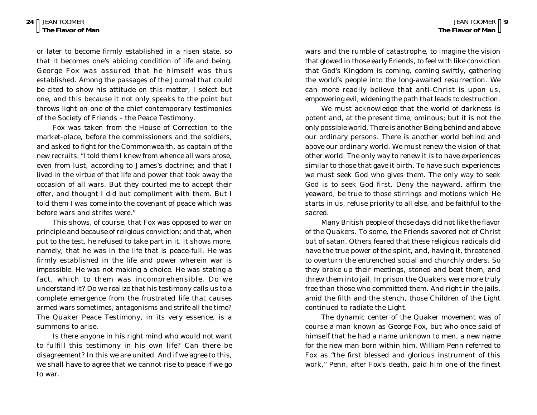or later to become firmly established in a risen state, so that it becomes one's abiding condition of life and being. George Fox was assured that he himself was thus established. Among the passages of the *Journal* that could be cited to show his attitude on this matter, I select but one, and this because it not only speaks to the point but throws light on one of the chief contemporary testimonies of the Society of Friends – the Peace Testimony.

Fox was taken from the House of Correction to the market-place, before the commissioners and the soldiers, and asked to fight for the Commonwealth, as captain of the new recruits. "I told them I knew from whence all wars arose, even from lust, according to James's doctrine; and that I lived in the virtue of that life and power that took away the occasion of all wars. But they courted me to accept their offer, and thought I did but compliment with them. But I told them I was come into the covenant of peace which was before wars and strifes were."

This shows, of course, that Fox was opposed to war on principle and because of religious conviction; and that, when put to the test, he refused to take part in it. It shows more, namely, that he was in the life that *is* peace-full. He was firmly established in the life and power wherein war is *impossible.* He was not making a choice. He was stating a fact, which to them was incomprehensible. Do we understand it? Do we realize that his testimony calls us to a complete emergence from the frustrated life that causes armed wars sometimes, antagonisms and strife all the time? The Quaker Peace Testimony, in its very essence, is a summons to arise.

Is there anyone in his right mind who would not want to fulfill this testimony in his own life? Can there be disagreement? In this we are united. And if we agree to this, we shall have to agree that we cannot rise to peace if we go to war.

wars and the rumble of catastrophe, to imagine the vision that glowed in those early Friends, to feel with like conviction that God's Kingdom is coming, coming swiftly, gathering the world's people into the long-awaited resurrection. We can more readily believe that anti-Christ is upon us, empowering evil, widening the path that leads to destruction.

We must acknowledge that the world of darkness is potent and, at the present time, ominous; but it is not the only possible world. There is another Being behind and above our ordinary persons. There is another world behind and above our ordinary world. We must renew the vision of that other world. The only way to renew it is to have experiences similar to those that gave it birth. To have such experiences we must seek God who gives them. The only way to seek God is to seek God first. Deny the nayward, affirm the yeaward, be true to those stirrings and motions which He starts in us, refuse priority to all else, and be faithful to the sacred.

Many British people of those days did not like the flavor of the Quakers. To some, the Friends savored not of Christ but of satan. Others feared that these religious radicals did have the true power of the spirit, and, having it, threatened to overturn the entrenched social and churchly orders. So they broke up their meetings, stoned and beat them, and threw them into jail. In prison the Quakers were more truly free than those who committed them. And right in the jails, amid the filth and the stench, those Children of the Light continued to radiate the Light.

The dynamic center of the Quaker movement was of course a man known as George Fox, but who once said of himself that he had a name unknown to men, a new name for the new man born within him. William Penn referred to Fox as "the first blessed and glorious instrument of this work," Penn, after Fox's death, paid him one of the finest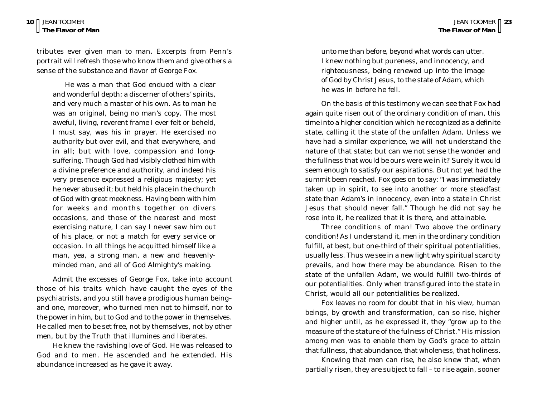tributes ever given man to man. Excerpts from Penn's portrait will refresh those who know them and give others a sense of the substance and flavor of George Fox.

He was a man that God endued with a clear and wonderful depth; a discerner of others' spirits, and very much a master of his own. As to man he was an original, being no man's copy. The most aweful, living, reverent frame I ever felt or beheld, I must say, was his in prayer. He exercised no authority but over evil, and that everywhere, and in all; but with love, compassion and longsuffering. Though God had visibly clothed him with a divine preference and authority, and indeed his very presence expressed a religious majesty; yet he never abused it; but held his place in the church of God with great meekness. Having been with him for weeks and months together on divers occasions, and those of the nearest and most exercising nature, I can say I never saw him out of his place, or not a match for every service or occasion. In all things he acquitted himself like a man, yea, a strong man, a new and heavenlyminded man, and all of God Almighty's making.

Admit the excesses of George Fox, take into account those of his traits which have caught the eyes of the psychiatrists, and you still have a prodigious human being– and one, moreover, who turned men not to himself, nor to the power in him, but to God and to the power in themselves. He called men to be set free, not by themselves, not by other men, but by the Truth that illumines and liberates.

He knew the ravishing love of God. He was released to God and to men. He ascended and he extended. His abundance increased as he gave it away.

unto me than before, beyond what words can utter. I knew nothing but pureness, and innocency, and righteousness, being renewed up into the image of God by Christ Jesus, to the state of Adam, which he was in before he fell.

On the basis of this testimony we can see that Fox had again quite risen out of the ordinary condition of man, this time into a higher condition which he recognized as a definite state, calling it the state of the unfallen Adam. Unless we have had a similar experience, we will not understand the nature of that state; but can we not sense the wonder and the fullness that would be ours were we in it? Surely it would seem enough to satisfy our aspirations. But not yet had the summit been reached. Fox goes on to say: "I was immediately taken up in spirit, to see into another or more steadfast state than Adam's in innocency, even into a state in Christ Jesus that should never fall." Though he did not say he rose into it, he realized that it is there, and attainable.

Three conditions of man! Two above the ordinary condition! As I understand it, men in the ordinary condition fulfill, at best, but one-third of their spiritual potentialities, usually less. Thus we see in a new light why spiritual scarcity prevails, and how there may be abundance. Risen to the state of the unfallen Adam, we would fulfill two-thirds of our potentialities. Only when transfigured into the state in Christ, would all our potentialities be realized.

Fox leaves no room for doubt that in his view, human beings, by growth and transformation, can so rise, higher and higher until, as he expressed it, they "grow up to the measure of the stature of the fulness of Christ." His mission among men was to enable them by God's grace to attain that fullness, that abundance, that wholeness, that holiness.

Knowing that men can rise, he also knew that, when partially risen, they are subject to fall – to rise again, sooner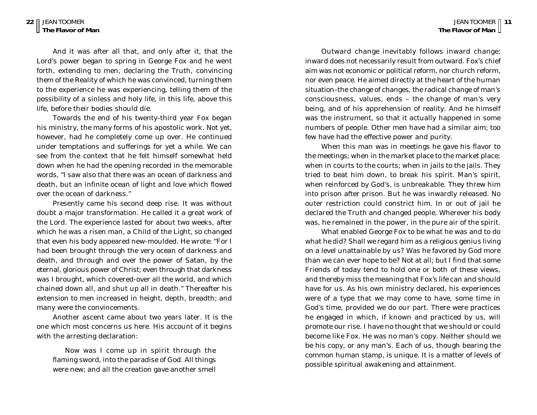And it was after all that, and only after it, that the Lord's power began to spring in George Fox and he went forth, extending to men, declaring the Truth, convincing them of the Reality of which he was convinced, turning them to the experience he was experiencing, telling them of the possibility of a sinless and holy life, in this life, above this life, before their bodies should die.

Towards the end of his twenty-third year Fox began his ministry, the many forms of his apostolic work. Not yet, however, had he completely come up over. He continued under temptations and sufferings for yet a while. We can see from the context that he felt himself somewhat held down when he had the opening recorded in the memorable words, "I saw also that there was an ocean of darkness and death, but an infinite ocean of light and love which flowed over the ocean of darkness."

Presently came his second deep rise. It was without doubt a major transformation. He called it a great work of the Lord. The experience lasted for about two weeks, after which he was a risen man, a Child of the Light, so changed that even his body appeared new-moulded. He wrote: "For I had been brought through the very ocean of darkness and death, and through and over the power of Satan, by the eternal, glorious power of Christ; even through that darkness was I brought, which covered-over all the world, and which chained down all, and shut up all in death." Thereafter his extension to men increased in height, depth, breadth; and many were the convincements.

Another ascent came about two years later. It is the one which most concerns us here. His account of it begins with the arresting declaration:

Now was I come up in spirit through the flaming sword, into the paradise of God. All things were new; and all the creation gave another smell

Outward change inevitably follows inward change; inward does not necessarily result from outward. Fox's chief aim was not economic or political reform, nor church reform, nor even peace. He aimed directly at the heart of the human situation–the change of changes, the radical change of man's consciousness, values, ends – the change of man's very being, and of his apprehension of reality. And he himself was the instrument, so that it actually happened in some numbers of people. Other men have had a similar aim; too few have had the effective power and purity.

When this man was in meetings he gave his flavor to the meetings; when in the market place to the market place; when in courts to the courts; when in jails to the jails. They tried to beat him down, to break his spirit. Man's spirit, when reinforced by God's, is unbreakable. They threw him into prison after prison. But he was inwardly released. No outer restriction could constrict him. In or out of jail he declared the Truth and changed people. Wherever his body was, he remained in the power, in the pure air of the spirit.

What enabled George Fox to be what he was and to do what he did? Shall we regard him as a religious genius living on a level unattainable by us? Was he favored by God more than we can ever hope to be? Not at all; but I find that some Friends of today tend to hold one or both of these views, and thereby miss the meaning that Fox's life can and should have for us. As his own ministry declared, his experiences were of a type that we may come to have, some time in God's time, provided we do our part. There were practices he engaged in which, if known and practiced by us, will promote our rise. I have no thought that we should or could become like Fox. He was no man's copy. Neither should we be his copy, or any man's. Each of us, though bearing the common human stamp, is unique. It is a matter of levels of possible spiritual awakening and attainment.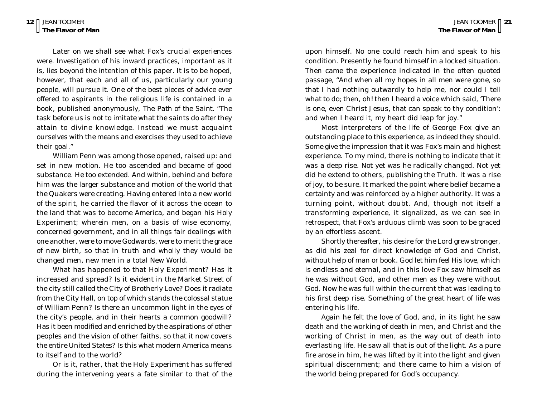Later on we shall see what Fox's crucial experiences were. Investigation of his inward practices, important as it is, lies beyond the intention of this paper. It is to be hoped, however, that each and all of us, particularly our young people, will pursue it. One of the best pieces of advice ever offered to aspirants in the religious life is contained in a book, published anonymously, *The Path of the Saint.* "The task before us is not to imitate what the saints do *after* they attain to divine knowledge. Instead we must acquaint ourselves with the means and exercises they used to achieve their goal."

William Penn was among those opened, raised up: and set in new motion. He too ascended and became of good substance. He too extended. And within, behind and before him was the larger substance and motion of the world that the Quakers were creating. Having entered into a new world of the spirit, he carried the flavor of it across the ocean to the land that was to become America, and began his Holy Experiment; wherein men, on a basis of wise economy, concerned government, and in all things fair dealings with one another, were to move Godwards, were to merit the grace of new birth, so that in truth and wholly they would be changed men, new men in a total New World.

What has happened to that Holy Experiment? Has it increased and spread? Is it evident in the Market Street of the city still called the City of Brotherly Love? Does it radiate from the City Hall, on top of which stands the colossal statue of William Penn? Is there an uncommon light in the eyes of the city's people, and in their hearts a common goodwill? Has it been modified and enriched by the aspirations of other peoples and the vision of other faiths, so that it now covers the entire United States? Is this what modern America means to itself and to the world?

Or is it, rather, that the Holy Experiment has suffered during the intervening years a fate similar to that of the

upon himself. No one could reach him and speak to his condition. Presently he found himself in a locked situation. Then came the experience indicated in the often quoted passage, "And when all my hopes in all men were gone, so that I had nothing outwardly to help me, nor could I tell what to do; then, oh! then I heard a voice which said, 'There is one, even Christ Jesus, that can speak to thy condition': and when I heard it, my heart did leap for joy."

Most interpreters of the life of George Fox give an outstanding place to this experience, as indeed they should. Some give the impression that it was Fox's main and highest experience. To my mind, there is nothing to indicate that it was a deep rise. Not yet was he radically changed. Not yet did he extend to others, publishing the Truth. It was a rise of joy, to be sure. It marked the point where belief became a certainty and was reinforced by a higher authority. It was a turning point, without doubt. And, though not itself a transforming experience, it signalized, as we can see in retrospect, that Fox's arduous climb was soon to be graced by an effortless ascent.

Shortly thereafter, his desire for the Lord grew stronger, as did his zeal for direct knowledge of God and Christ, without help of man or book. God let him feel His love, which is endless and eternal, and in this love Fox saw himself as he was without God, and other men as they were without God. Now he was full within the current that was leading to his first deep rise. Something of the great heart of life was entering his life.

Again he felt the love of God, and, in its light he saw death and the working of death in men, and Christ and the working of Christ in men, as the way out of death into everlasting life. He saw all that is out of the light. As a pure fire arose in him, he was lifted by it into the light and given spiritual discernment; and there came to him a vision of the world being prepared for God's occupancy.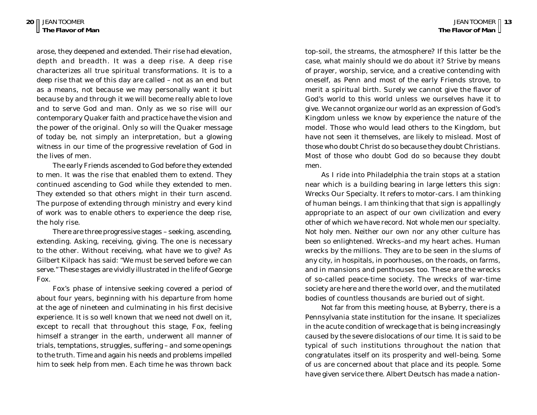arose, they deepened and extended. Their rise had elevation, depth and breadth. It was a deep rise. A deep rise characterizes all true spiritual transformations. It is to a deep rise that we of this day are called – not as an end but as a means, not because we may personally want it but because by and through it we will become really able to love and to serve God and man. Only as we so rise will our contemporary Quaker faith and practice have the vision and the power of the original. Only so will the Quaker message of today be, not simply an interpretation, but a glowing witness in our time of the progressive revelation of God in the lives of men.

The early Friends ascended to God before they extended to men. It was the rise that enabled them to extend. They continued ascending to God while they extended to men. They extended so that others might in their turn ascend. The purpose of extending through ministry and every kind of work was to enable others to experience the deep rise, the holy rise.

There are three progressive stages – seeking, ascending, extending. Asking, receiving, giving. The one is necessary to the other. Without receiving, what have we to give? As Gilbert Kilpack has said: "We must be served before we can serve." These stages are vividly illustrated in the life of George Fox.

Fox's phase of intensive seeking covered a period of about four years, beginning with his departure from home at the age of nineteen and culminating in his first decisive experience. It is so well known that we need not dwell on it, except to recall that throughout this stage, Fox, feeling himself a stranger in the earth, underwent all manner of trials, temptations, struggles, suffering – and some openings to the truth. Time and again his needs and problems impelled him to seek help from men. Each time he was thrown back

top-soil, the streams, the atmosphere? If this latter be the case, what mainly should we do about it? Strive by means of prayer, worship, service, and a creative contending with oneself, as Penn and most of the early Friends strove, to merit a spiritual birth. Surely we cannot give the flavor of God's world to this world unless we ourselves have it to give. We cannot organize our world as an expression of God's Kingdom unless we know by experience the nature of the model. Those who would lead others to the Kingdom, but have not seen it themselves, are likely to mislead. Most of those who doubt Christ do so because they doubt Christians. Most of those who doubt God do so because they doubt men.

As I ride into Philadelphia the train stops at a station near which is a building bearing in large letters this sign: Wrecks Our Specialty. It refers to motor-cars. I am thinking of human beings. I am thinking that that sign is appallingly appropriate to an aspect of our own civilization and every other of which we have record. Not *whole men* our specialty. Not *holy men.* Neither our own nor any other culture has been so enlightened. Wrecks–and my heart aches. Human wrecks by the millions. They are to be seen in the slums of any city, in hospitals, in poorhouses, on the roads, on farms, and in mansions and penthouses too. These are the wrecks of so-called peace-time society. The wrecks of war-time society are here and there the world over, and the mutilated bodies of countless thousands are buried out of sight.

Not far from this meeting house, at Byberry, there is a Pennsylvania state institution for the insane. It specializes in the acute condition of wreckage that is being increasingly caused by the severe dislocations of our time. It is said to be typical of such institutions throughout the nation that congratulates itself on its prosperity and well-being. Some of us are concerned about that place and its people. Some have given service there. Albert Deutsch has made a nation-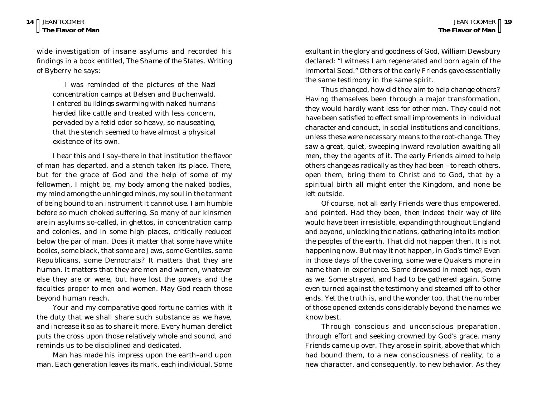wide investigation of insane asylums and recorded his findings in a book entitled, *The Shame of the States.* Writing of Byberry he says:

I was reminded of the pictures of the Nazi concentration camps at Belsen and Buchenwald. I entered buildings swarming with naked humans herded like cattle and treated with less concern, pervaded by a fetid odor so heavy, so nauseating, that the stench seemed to have almost a physical existence of its own.

I hear this and I say–there in that institution the flavor of man has departed, and a stench taken its place. There, but for the grace of God and the help of some of my fellowmen, I might be, my body among the naked bodies, my mind among the unhinged minds, my soul in the torment of being bound to an instrument it cannot use. I am humble before so much choked suffering. So many of our kinsmen are in asylums so-called, in ghettos, in concentration camp and colonies, and in some high places, critically reduced below the par of man. Does it matter that some have white bodies, some black, that some are Jews, some Gentiles, some Republicans, some Democrats? It matters that they are human. It matters that they are men and women, whatever else they are or were, but have lost the powers and the faculties proper to men and women. May God reach those beyond human reach.

Your and my comparative good fortune carries with it the duty that we shall share such substance as we have, and increase it so as to share it more. Every human derelict puts the cross upon those relatively whole and sound, and reminds us to be disciplined and dedicated.

Man has made his impress upon the earth–and upon man. Each generation leaves its mark, each individual. Some

exultant in the glory and goodness of God, William Dewsbury declared: "I witness I am regenerated and born again of the immortal Seed." Others of the early Friends gave essentially the same testimony in the same spirit.

Thus changed, how did they aim to help change others? Having themselves been through a major transformation, they would hardly want less for other men. They could not have been satisfied to effect small improvements in individual character and conduct, in social institutions and conditions, unless these were necessary means to the root-change. They saw a great, quiet, sweeping inward revolution awaiting all men, they the agents of it. The early Friends aimed to help others change as radically as they had been – to reach others, open them, bring them to Christ and to God, that by a spiritual birth all might enter the Kingdom, and none be left outside.

Of course, not all early Friends were thus empowered, and pointed. Had they been, then indeed their way of life would have been irresistible, expanding throughout England and beyond, unlocking the nations, gathering into its motion the peoples of the earth. That did not happen then. It is not happening now. But may it not happen, in God's time? Even in those days of the covering, some were Quakers more in name than in experience. Some drowsed in meetings, even as we. Some strayed, and had to be gathered again. Some even turned against the testimony and steamed off to other ends. Yet the truth is, and the wonder too, that the number of those opened extends considerably beyond the names we know best.

Through conscious and unconscious preparation, through effort and seeking crowned by God's grace, many Friends came up over. They arose in spirit, above that which had bound them, to a new consciousness of reality, to a new character, and consequently, to new behavior. As they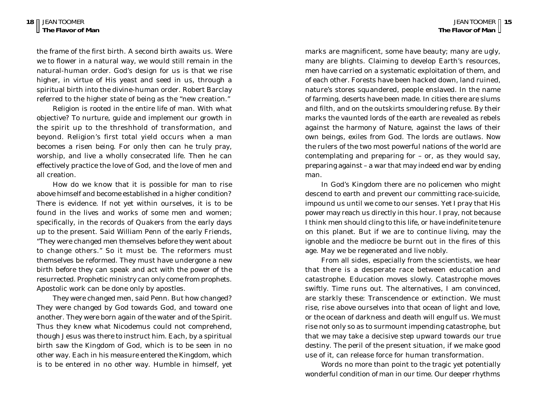the frame of the first birth. A second birth awaits us. Were we to flower in a natural way, we would still remain in the natural-human order. God's design for us is that we rise higher, in virtue of His yeast and seed in us, through a spiritual birth into the divine-human order. Robert Barclay referred to the higher state of being as the "new creation."

Religion is rooted in the entire life of man. With what objective? To nurture, guide and implement our growth in the spirit up to the threshhold of transformation, and beyond. Religion's first total yield occurs when a man becomes a risen being. For only then can he truly pray, worship, and live a wholly consecrated life. Then he can effectively practice the love of God, and the love of men and all creation.

How do we know that it is possible for man to rise above himself and become established in a higher condition? There is evidence. If not yet within ourselves, it is to be found in the lives and works of some men and women; specifically, in the records of Quakers from the early days up to the present. Said William Penn of the early Friends, "They were changed men themselves before they went about to change others." So it must be. The reformers must themselves be reformed. They must have undergone a new birth before they can speak and act with the power of the resurrected. Prophetic ministry can only come from prophets. Apostolic work can be done only by apostles.

They were changed men, said Penn. But how changed? They were changed by God towards God, and toward one another. They were born again of the water and of the Spirit. Thus they knew what Nicodemus could not comprehend, though Jesus was there to instruct him. Each, by a spiritual birth saw the Kingdom of God, which is to be seen in no other way. Each in his measure entered the Kingdom, which is to be entered in no other way. Humble in himself, yet

marks are magnificent, some have beauty; many are ugly, many are blights. Claiming to develop Earth's resources, men have carried on a systematic exploitation of them, and of each other. Forests have been hacked down, land ruined, nature's stores squandered, people enslaved. In the name of farming, deserts have been made. In cities there are slums and filth, and on the outskirts smouldering refuse. By their marks the vaunted lords of the earth are revealed as rebels against the harmony of Nature, against the laws of their own beings, exiles from God. The lords are outlaws. Now the rulers of the two most powerful nations of the world are contemplating and preparing for – or, as they would say, preparing against – a war that may indeed end war by ending man.

In God's Kingdom there are no policemen who might descend to earth and prevent our committing race-suicide, impound us until we come to our senses. Yet I pray that His power may reach us directly in this hour. I pray, not because I think men should cling to this life, or have indefinite tenure on this planet. But if we are to continue living, may the ignoble and the mediocre be burnt out in the fires of this age. May we be regenerated and live nobly.

From all sides, especially from the scientists, we hear that there is a desperate race between education and catastrophe. Education moves slowly. Catastrophe moves swiftly. Time runs out. The alternatives, I am convinced, are starkly these: Transcendence or extinction. We must rise, rise above ourselves into that ocean of light and love, or the ocean of darkness and death will engulf us. We must rise not only so as to surmount impending catastrophe, but that we may take a decisive step upward towards our true destiny. The peril of the present situation, if we make good use of it, can release force for human transformation.

Words no more than point to the tragic yet potentially wonderful condition of man in our time. Our deeper rhythms